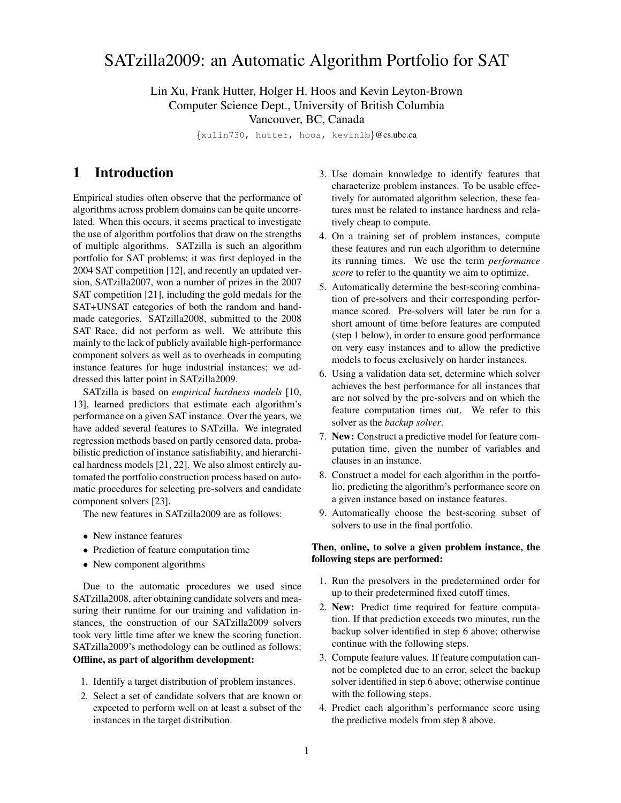# SATzilla2009: an Automatic Algorithm Portfolio for SAT

#### Lin Xu, Frank Hutter, Holger H. Hoos and Kevin Leyton-Brown Computer Science Dept., University of British Columbia Vancouver, BC, Canada

{xulin730, hutter, hoos, kevinlb}@cs.ubc.ca

### 1 Introduction

Empirical studies often observe that the performance of algorithms across problem domains can be quite uncorrelated. When this occurs, it seems practical to investigate the use of algorithm portfolios that draw on the strengths of multiple algorithms. SATzilla is such an algorithm portfolio for SAT problems; it was first deployed in the 2004 SAT competition [12], and recently an updated version, SATzilla2007, won a number of prizes in the 2007 SAT competition [21], including the gold medals for the SAT+UNSAT categories of both the random and handmade categories. SATzilla2008, submitted to the 2008 SAT Race, did not perform as well. We attribute this mainly to the lack of publicly available high-performance component solvers as well as to overheads in computing instance features for huge industrial instances; we addressed this latter point in SATzilla2009.

SATzilla is based on *empirical hardness models* [10, 13], learned predictors that estimate each algorithm's performance on a given SAT instance. Over the years, we have added several features to SATzilla. We integrated regression methods based on partly censored data, probabilistic prediction of instance satisfiability, and hierarchical hardness models [21, 22]. We also almost entirely automated the portfolio construction process based on automatic procedures for selecting pre-solvers and candidate component solvers [23].

The new features in SATzilla2009 are as follows:

- New instance features
- Prediction of feature computation time
- New component algorithms

Due to the automatic procedures we used since SATzilla2008, after obtaining candidate solvers and measuring their runtime for our training and validation instances, the construction of our SATzilla2009 solvers took very little time after we knew the scoring function. SATzilla2009's methodology can be outlined as follows: Offline, as part of algorithm development:

- 1. Identify a target distribution of problem instances.
- 2. Select a set of candidate solvers that are known or expected to perform well on at least a subset of the instances in the target distribution.
- 3. Use domain knowledge to identify features that characterize problem instances. To be usable effectively for automated algorithm selection, these features must be related to instance hardness and relatively cheap to compute.
- 4. On a training set of problem instances, compute these features and run each algorithm to determine its running times. We use the term *performance score* to refer to the quantity we aim to optimize.
- 5. Automatically determine the best-scoring combination of pre-solvers and their corresponding performance scored. Pre-solvers will later be run for a short amount of time before features are computed (step 1 below), in order to ensure good performance on very easy instances and to allow the predictive models to focus exclusively on harder instances.
- 6. Using a validation data set, determine which solver achieves the best performance for all instances that are not solved by the pre-solvers and on which the feature computation times out. We refer to this solver as the *backup solver*.
- 7. New: Construct a predictive model for feature computation time, given the number of variables and clauses in an instance.
- 8. Construct a model for each algorithm in the portfolio, predicting the algorithm's performance score on a given instance based on instance features.
- 9. Automatically choose the best-scoring subset of solvers to use in the final portfolio.

#### Then, online, to solve a given problem instance, the following steps are performed:

- 1. Run the presolvers in the predetermined order for up to their predetermined fixed cutoff times.
- 2. New: Predict time required for feature computation. If that prediction exceeds two minutes, run the backup solver identified in step 6 above; otherwise continue with the following steps.
- 3. Compute feature values. If feature computation cannot be completed due to an error, select the backup solver identified in step 6 above; otherwise continue with the following steps.
- 4. Predict each algorithm's performance score using the predictive models from step 8 above.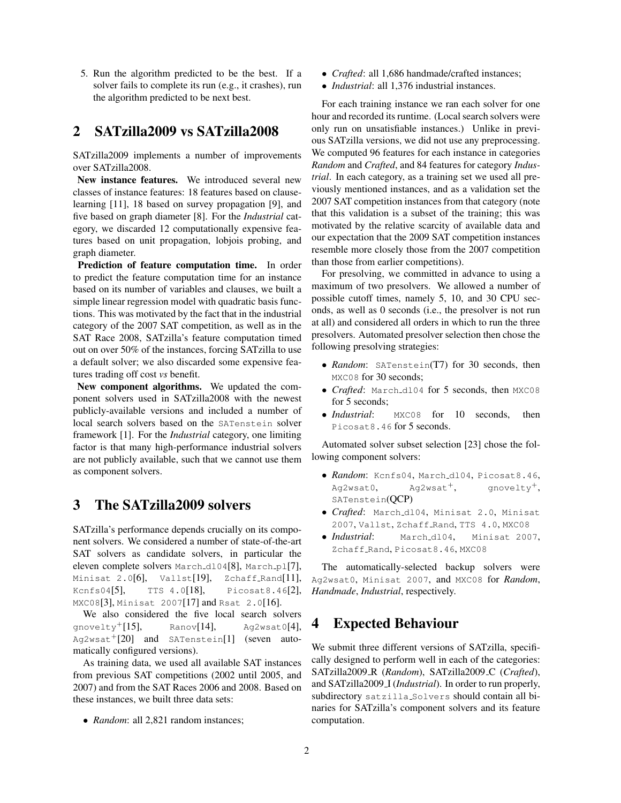5. Run the algorithm predicted to be the best. If a solver fails to complete its run (e.g., it crashes), run the algorithm predicted to be next best.

### 2 SATzilla2009 vs SATzilla2008

SATzilla2009 implements a number of improvements over SATzilla2008.

New instance features. We introduced several new classes of instance features: 18 features based on clauselearning [11], 18 based on survey propagation [9], and five based on graph diameter [8]. For the *Industrial* category, we discarded 12 computationally expensive features based on unit propagation, lobjois probing, and graph diameter.

Prediction of feature computation time. In order to predict the feature computation time for an instance based on its number of variables and clauses, we built a simple linear regression model with quadratic basis functions. This was motivated by the fact that in the industrial category of the 2007 SAT competition, as well as in the SAT Race 2008, SATzilla's feature computation timed out on over 50% of the instances, forcing SATzilla to use a default solver; we also discarded some expensive features trading off cost *vs* benefit.

New component algorithms. We updated the component solvers used in SATzilla2008 with the newest publicly-available versions and included a number of local search solvers based on the SATenstein solver framework [1]. For the *Industrial* category, one limiting factor is that many high-performance industrial solvers are not publicly available, such that we cannot use them as component solvers.

### 3 The SATzilla2009 solvers

SATzilla's performance depends crucially on its component solvers. We considered a number of state-of-the-art SAT solvers as candidate solvers, in particular the eleven complete solvers March\_dl04[8], March\_pl[7], Minisat 2.0[6], Vallst[19], Zchaff\_Rand[11], Kcnfs04[5], TTS 4.0[18], Picosat8.46[2], MXC08[3], Minisat 2007[17] and Rsat 2.0[16].

We also considered the five local search solvers  $q$ novelty<sup>+</sup>[15], Ranov[14], Ag2wsat0[4],  $Aq2wsat$ <sup>+</sup>[20] and SATenstein[1] (seven automatically configured versions).

As training data, we used all available SAT instances from previous SAT competitions (2002 until 2005, and 2007) and from the SAT Races 2006 and 2008. Based on these instances, we built three data sets:

• *Random*: all 2,821 random instances;

- *Crafted*: all 1,686 handmade/crafted instances;
- *Industrial*: all 1,376 industrial instances.

For each training instance we ran each solver for one hour and recorded its runtime. (Local search solvers were only run on unsatisfiable instances.) Unlike in previous SATzilla versions, we did not use any preprocessing. We computed 96 features for each instance in categories *Random* and *Crafted*, and 84 features for category *Industrial*. In each category, as a training set we used all previously mentioned instances, and as a validation set the 2007 SAT competition instances from that category (note that this validation is a subset of the training; this was motivated by the relative scarcity of available data and our expectation that the 2009 SAT competition instances resemble more closely those from the 2007 competition than those from earlier competitions).

For presolving, we committed in advance to using a maximum of two presolvers. We allowed a number of possible cutoff times, namely 5, 10, and 30 CPU seconds, as well as 0 seconds (i.e., the presolver is not run at all) and considered all orders in which to run the three presolvers. Automated presolver selection then chose the following presolving strategies:

- *Random*: SATenstein(T7) for 30 seconds, then MXC08 for 30 seconds;
- *Crafted*: March\_d104 for 5 seconds, then MXC08 for 5 seconds;
- *Industrial*: MXC08 for 10 seconds, then Picosat8.46 for 5 seconds.

Automated solver subset selection [23] chose the following component solvers:

- *Random*: Kcnfs04, March dl04, Picosat8.46,  $Aq2wsat0$ ,  $Aq2wsat^{+}$ , qnovelty<sup>+</sup>, SATenstein(QCP)
- *Crafted*: March dl04, Minisat 2.0, Minisat 2007, Vallst, Zchaff Rand, TTS 4.0, MXC08
- *Industrial*: March dl04, Minisat 2007, Zchaff\_Rand, Picosat8.46, MXC08

The automatically-selected backup solvers were Ag2wsat0, Minisat 2007, and MXC08 for *Random*, *Handmade*, *Industrial*, respectively.

### 4 Expected Behaviour

We submit three different versions of SATzilla, specifically designed to perform well in each of the categories: SATzilla2009 R (*Random*), SATzilla2009 C (*Crafted*), and SATzilla2009 I (*Industrial*). In order to run properly, subdirectory satzilla Solvers should contain all binaries for SATzilla's component solvers and its feature computation.